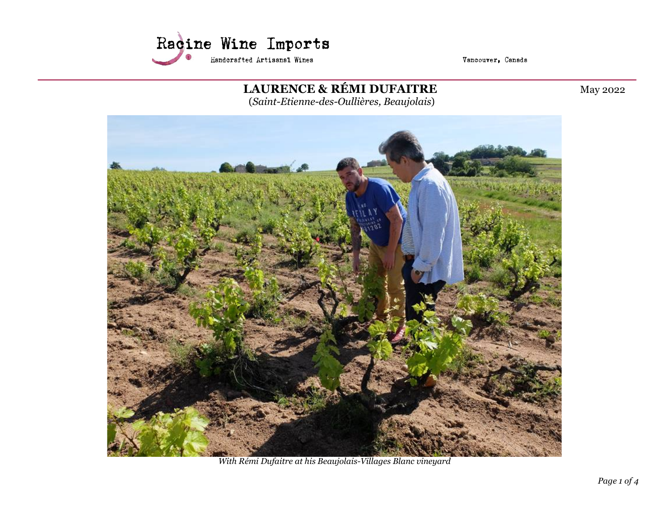

Vancouver, Canada

LAURENCE & RÉMI DUFAITRE May 2022 (Saint-Etienne-des-Oullières, Beaujolais)



With Rémi Dufaitre at his Beaujolais-Villages Blanc vineyard

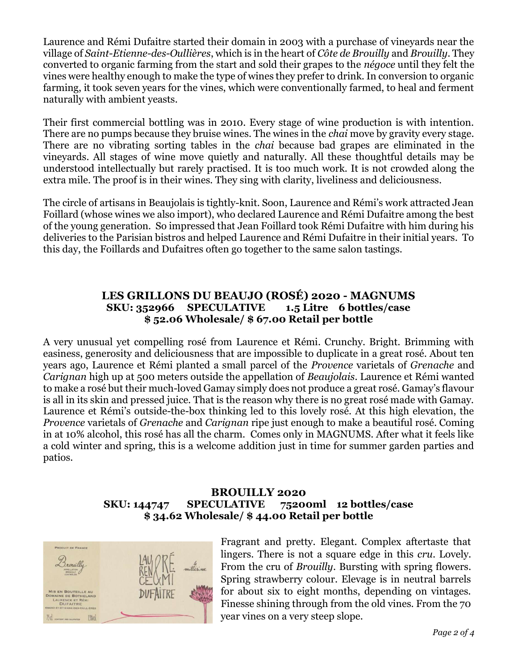Laurence and Rémi Dufaitre started their domain in 2003 with a purchase of vineyards near the village of Saint-Etienne-des-Oullières, which is in the heart of Côte de Brouilly and Brouilly. They converted to organic farming from the start and sold their grapes to the négoce until they felt the vines were healthy enough to make the type of wines they prefer to drink. In conversion to organic farming, it took seven years for the vines, which were conventionally farmed, to heal and ferment naturally with ambient yeasts.

Their first commercial bottling was in 2010. Every stage of wine production is with intention. There are no pumps because they bruise wines. The wines in the *chai* move by gravity every stage. There are no vibrating sorting tables in the chai because bad grapes are eliminated in the vineyards. All stages of wine move quietly and naturally. All these thoughtful details may be understood intellectually but rarely practised. It is too much work. It is not crowded along the extra mile. The proof is in their wines. They sing with clarity, liveliness and deliciousness.

The circle of artisans in Beaujolais is tightly-knit. Soon, Laurence and Rémi's work attracted Jean Foillard (whose wines we also import), who declared Laurence and Rémi Dufaitre among the best of the young generation. So impressed that Jean Foillard took Rémi Dufaitre with him during his deliveries to the Parisian bistros and helped Laurence and Rémi Dufaitre in their initial years. To this day, the Foillards and Dufaitres often go together to the same salon tastings.

## LES GRILLONS DU BEAUJO (ROSÉ) 2020 - MAGNUMS SKU: 352966 SPECULATIVE 1.5 Litre 6 bottles/case \$ 52.06 Wholesale/ \$ 67.00 Retail per bottle

A very unusual yet compelling rosé from Laurence et Rémi. Crunchy. Bright. Brimming with easiness, generosity and deliciousness that are impossible to duplicate in a great rosé. About ten years ago, Laurence et Rémi planted a small parcel of the Provence varietals of Grenache and Carignan high up at 500 meters outside the appellation of Beaujolais. Laurence et Rémi wanted to make a rosé but their much-loved Gamay simply does not produce a great rosé. Gamay's flavour is all in its skin and pressed juice. That is the reason why there is no great rosé made with Gamay. Laurence et Rémi's outside-the-box thinking led to this lovely rosé. At this high elevation, the Provence varietals of Grenache and Carignan ripe just enough to make a beautiful rosé. Coming in at 10% alcohol, this rosé has all the charm. Comes only in MAGNUMS. After what it feels like a cold winter and spring, this is a welcome addition just in time for summer garden parties and patios.

## BROUILLY 2020 SKU: 144747 SPECULATIVE 75200ml 12 bottles/case \$ 34.62 Wholesale/ \$ 44.00 Retail per bottle



Fragrant and pretty. Elegant. Complex aftertaste that lingers. There is not a square edge in this cru. Lovely. From the cru of *Brouilly*. Bursting with spring flowers. Spring strawberry colour. Elevage is in neutral barrels for about six to eight months, depending on vintages. Finesse shining through from the old vines. From the 70 year vines on a very steep slope.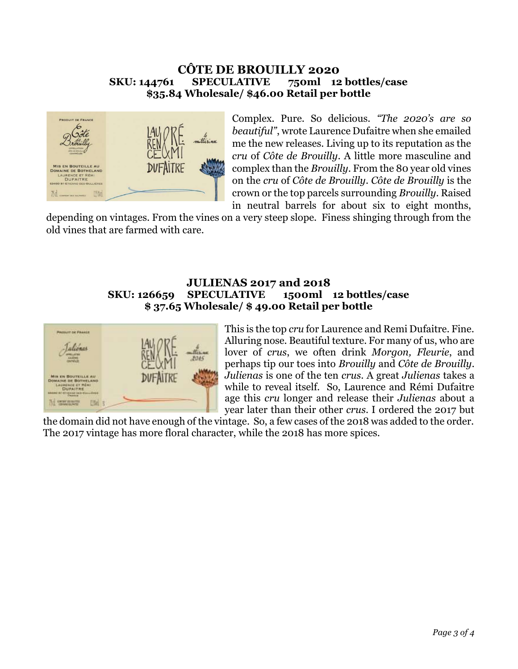## CÔTE DE BROUILLY 2020 SKU: 144761 SPECULATIVE 750ml 12 bottles/case \$35.84 Wholesale/ \$46.00 Retail per bottle



Complex. Pure. So delicious. "The 2020's are so beautiful", wrote Laurence Dufaitre when she emailed me the new releases. Living up to its reputation as the cru of Côte de Brouilly. A little more masculine and complex than the Brouilly. From the 80 year old vines on the cru of Côte de Brouilly. Côte de Brouilly is the crown or the top parcels surrounding Brouilly. Raised in neutral barrels for about six to eight months,

depending on vintages. From the vines on a very steep slope. Finess shinging through from the old vines that are farmed with care.

## JULIENAS 2017 and 2018 SKU: 126659 SPECULATIVE 1500ml 12 bottles/case \$ 37.65 Wholesale/ \$ 49.00 Retail per bottle



This is the top cru for Laurence and Remi Dufaitre. Fine. Alluring nose. Beautiful texture. For many of us, who are lover of crus, we often drink Morgon, Fleurie, and perhaps tip our toes into Brouilly and Côte de Brouilly. Julienas is one of the ten crus. A great Julienas takes a while to reveal itself. So, Laurence and Rémi Dufaitre age this cru longer and release their Julienas about a year later than their other crus. I ordered the 2017 but

the domain did not have enough of the vintage. So, a few cases of the 2018 was added to the order. The 2017 vintage has more floral character, while the 2018 has more spices.